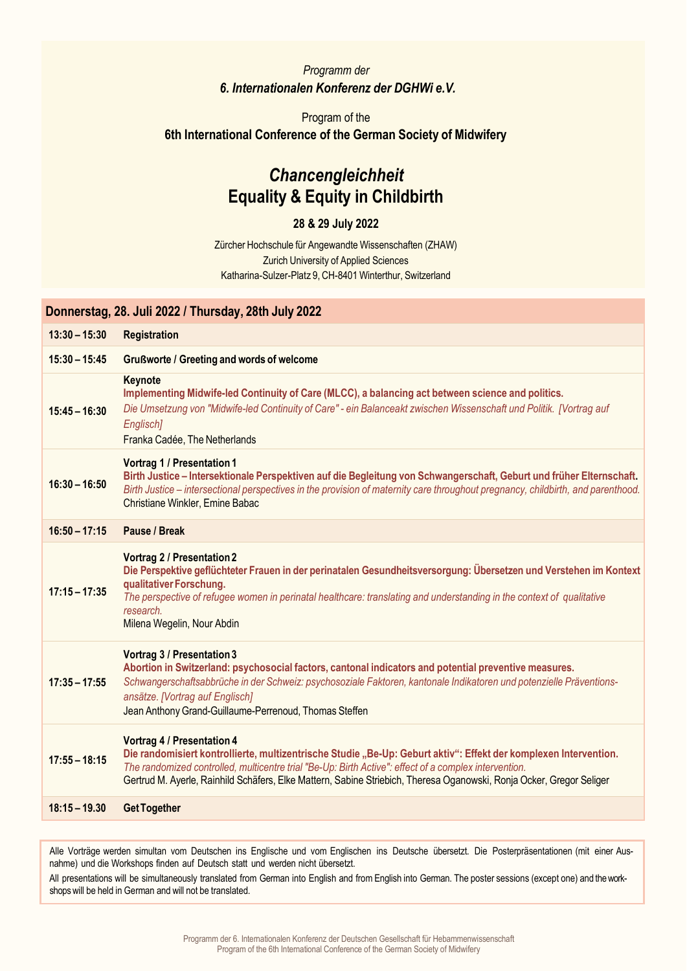### *Programm der 6. Internationalen Konferenz der DGHWi e.V.*

## Program of the **6th International Conference of the German Society of Midwifery**

# *Chancengleichheit* **Equality & Equity in Childbirth**

#### **28 & 29 July 2022**

Zürcher Hochschule für Angewandte Wissenschaften (ZHAW) Zurich University of Applied Sciences Katharina-Sulzer-Platz 9, CH-8401 Winterthur, Switzerland

### **Donnerstag, 28. Juli 2022 / Thursday, 28th July 2022**

| $13:30 - 15:30$ | <b>Registration</b>                                                                                                                                                                                                                                                                                                                                                                    |
|-----------------|----------------------------------------------------------------------------------------------------------------------------------------------------------------------------------------------------------------------------------------------------------------------------------------------------------------------------------------------------------------------------------------|
| $15:30 - 15:45$ | <b>Grußworte / Greeting and words of welcome</b>                                                                                                                                                                                                                                                                                                                                       |
| $15:45 - 16:30$ | Keynote<br>Implementing Midwife-led Continuity of Care (MLCC), a balancing act between science and politics.<br>Die Umsetzung von "Midwife-led Continuity of Care" - ein Balanceakt zwischen Wissenschaft und Politik. [Vortrag auf<br>Englisch]<br>Franka Cadée, The Netherlands                                                                                                      |
| $16:30 - 16:50$ | <b>Vortrag 1 / Presentation 1</b><br>Birth Justice - Intersektionale Perspektiven auf die Begleitung von Schwangerschaft, Geburt und früher Elternschaft.<br>Birth Justice – intersectional perspectives in the provision of maternity care throughout pregnancy, childbirth, and parenthood.<br>Christiane Winkler, Emine Babac                                                       |
| $16:50 - 17:15$ | Pause / Break                                                                                                                                                                                                                                                                                                                                                                          |
| $17:15 - 17:35$ | <b>Vortrag 2 / Presentation 2</b><br>Die Perspektive geflüchteter Frauen in der perinatalen Gesundheitsversorgung: Übersetzen und Verstehen im Kontext<br>qualitativer Forschung.<br>The perspective of refugee women in perinatal healthcare: translating and understanding in the context of qualitative<br>research.<br>Milena Wegelin, Nour Abdin                                  |
| $17:35 - 17:55$ | Vortrag 3 / Presentation 3<br>Abortion in Switzerland: psychosocial factors, cantonal indicators and potential preventive measures.<br>Schwangerschaftsabbrüche in der Schweiz: psychosoziale Faktoren, kantonale Indikatoren und potenzielle Präventions-<br>ansätze. [Vortrag auf Englisch]<br>Jean Anthony Grand-Guillaume-Perrenoud, Thomas Steffen                                |
| $17:55 - 18:15$ | <b>Vortrag 4 / Presentation 4</b><br>Die randomisiert kontrollierte, multizentrische Studie "Be-Up: Geburt aktiv": Effekt der komplexen Intervention.<br>The randomized controlled, multicentre trial "Be-Up: Birth Active": effect of a complex intervention.<br>Gertrud M. Ayerle, Rainhild Schäfers, Elke Mattern, Sabine Striebich, Theresa Oganowski, Ronja Ocker, Gregor Seliger |
| $18:15 - 19.30$ | <b>Get Together</b>                                                                                                                                                                                                                                                                                                                                                                    |
|                 |                                                                                                                                                                                                                                                                                                                                                                                        |

Alle Vorträge werden simultan vom Deutschen ins Englische und vom Englischen ins Deutsche übersetzt. Die Posterpräsentationen (mit einer Ausnahme) und die Workshops finden auf Deutsch statt und werden nicht übersetzt.

All presentations will be simultaneously translated from German into English and from English into German. The poster sessions (except one) and the workshopswill be held in German and will not be translated.